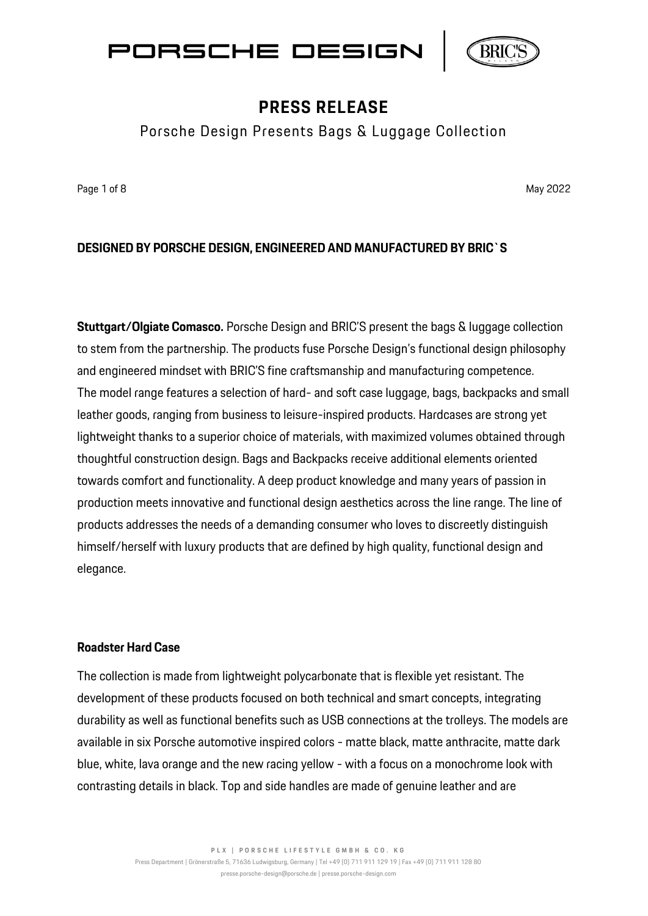



Porsche Design Presents Bags & Luggage Collection

Page 1 of 8 May 2022 May 2022 May 2022 May 2022 May 2022 May 2022 May 2022 May 2022

### **DESIGNED BY PORSCHE DESIGN, ENGINEERED AND MANUFACTURED BY BRIC`S**

**Stuttgart/Olgiate Comasco.** Porsche Design and BRIC'S present the bags & luggage collection to stem from the partnership. The products fuse Porsche Design's functional design philosophy and engineered mindset with BRIC'S fine craftsmanship and manufacturing competence. The model range features a selection of hard- and soft case luggage, bags, backpacks and small leather goods, ranging from business to leisure-inspired products. Hardcases are strong yet lightweight thanks to a superior choice of materials, with maximized volumes obtained through thoughtful construction design. Bags and Backpacks receive additional elements oriented towards comfort and functionality. A deep product knowledge and many years of passion in production meets innovative and functional design aesthetics across the line range. The line of products addresses the needs of a demanding consumer who loves to discreetly distinguish himself/herself with luxury products that are defined by high quality, functional design and elegance.

#### **Roadster Hard Case**

The collection is made from lightweight polycarbonate that is flexible yet resistant. The development of these products focused on both technical and smart concepts, integrating durability as well as functional benefits such as USB connections at the trolleys. The models are available in six Porsche automotive inspired colors - matte black, matte anthracite, matte dark blue, white, lava orange and the new racing yellow - with a focus on a monochrome look with contrasting details in black. Top and side handles are made of genuine leather and are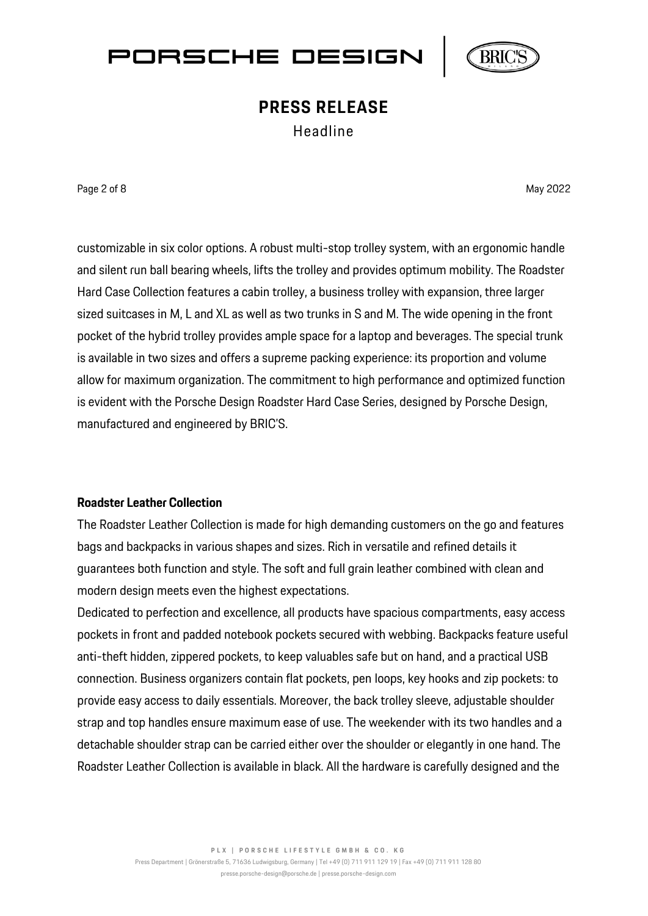



Headline

Page 2 of 8 May 2022

customizable in six color options. A robust multi-stop trolley system, with an ergonomic handle and silent run ball bearing wheels, lifts the trolley and provides optimum mobility. The Roadster Hard Case Collection features a cabin trolley, a business trolley with expansion, three larger sized suitcases in M, L and XL as well as two trunks in S and M. The wide opening in the front pocket of the hybrid trolley provides ample space for a laptop and beverages. The special trunk is available in two sizes and offers a supreme packing experience: its proportion and volume allow for maximum organization. The commitment to high performance and optimized function is evident with the Porsche Design Roadster Hard Case Series, designed by Porsche Design, manufactured and engineered by BRIC'S.

### **Roadster Leather Collection**

The Roadster Leather Collection is made for high demanding customers on the go and features bags and backpacks in various shapes and sizes. Rich in versatile and refined details it guarantees both function and style. The soft and full grain leather combined with clean and modern design meets even the highest expectations.

Dedicated to perfection and excellence, all products have spacious compartments, easy access pockets in front and padded notebook pockets secured with webbing. Backpacks feature useful anti-theft hidden, zippered pockets, to keep valuables safe but on hand, and a practical USB connection. Business organizers contain flat pockets, pen loops, key hooks and zip pockets: to provide easy access to daily essentials. Moreover, the back trolley sleeve, adjustable shoulder strap and top handles ensure maximum ease of use. The weekender with its two handles and a detachable shoulder strap can be carried either over the shoulder or elegantly in one hand. The Roadster Leather Collection is available in black. All the hardware is carefully designed and the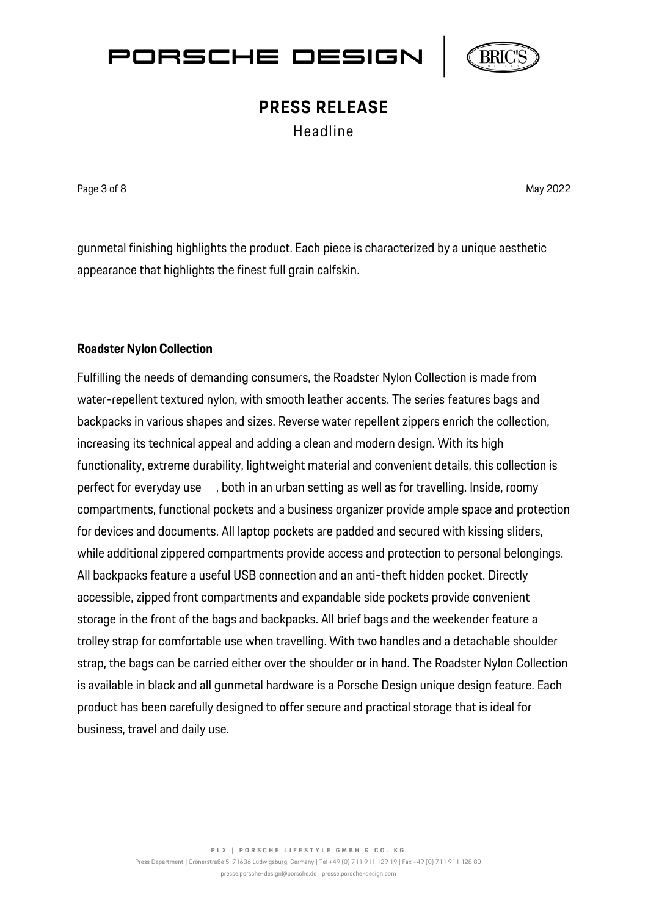



Headline

Page 3 of 8 May 2022 **May 2022** 

gunmetal finishing highlights the product. Each piece is characterized by a unique aesthetic appearance that highlights the finest full grain calfskin.

### **Roadster Nylon Collection**

Fulfilling the needs of demanding consumers, the Roadster Nylon Collection is made from water-repellent textured nylon, with smooth leather accents. The series features bags and backpacks in various shapes and sizes. Reverse water repellent zippers enrich the collection, increasing its technical appeal and adding a clean and modern design. With its high functionality, extreme durability, lightweight material and convenient details, this collection is perfect for everyday use , both in an urban setting as well as for travelling. Inside, roomy compartments, functional pockets and a business organizer provide ample space and protection for devices and documents. All laptop pockets are padded and secured with kissing sliders, while additional zippered compartments provide access and protection to personal belongings. All backpacks feature a useful USB connection and an anti-theft hidden pocket. Directly accessible, zipped front compartments and expandable side pockets provide convenient storage in the front of the bags and backpacks. All brief bags and the weekender feature a trolley strap for comfortable use when travelling. With two handles and a detachable shoulder strap, the bags can be carried either over the shoulder or in hand. The Roadster Nylon Collection is available in black and all gunmetal hardware is a Porsche Design unique design feature. Each product has been carefully designed to offer secure and practical storage that is ideal for business, travel and daily use.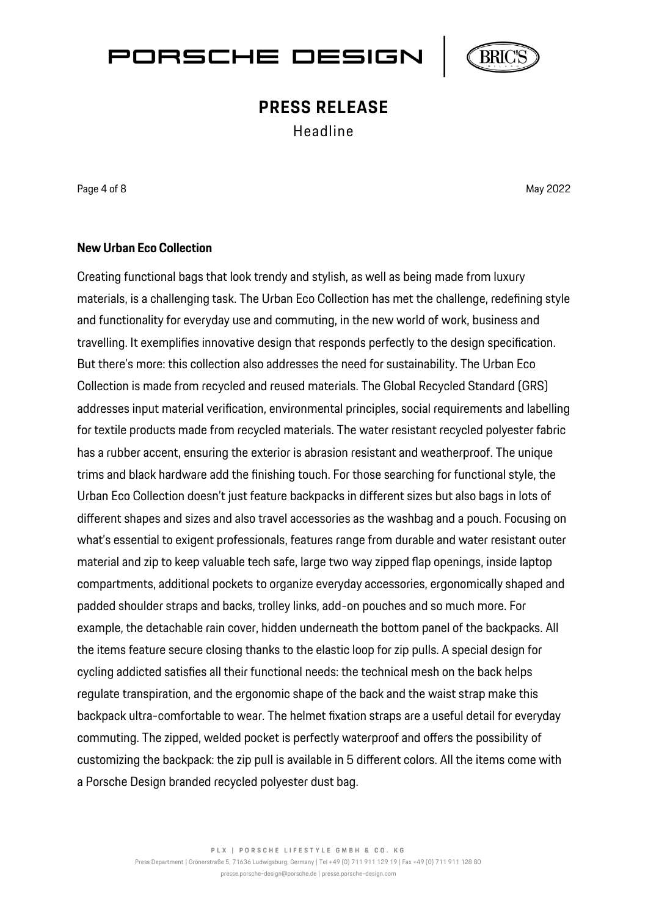



Headline

Page 4 of 8 May 2022 May 2022 May 2022 May 2022 May 2022 May 2022 May 2022 May 2022

#### **New Urban Eco Collection**

Creating functional bags that look trendy and stylish, as well as being made from luxury materials, is a challenging task. The Urban Eco Collection has met the challenge, redefining style and functionality for everyday use and commuting, in the new world of work, business and travelling. It exemplifies innovative design that responds perfectly to the design specification. But there's more: this collection also addresses the need for sustainability. The Urban Eco Collection is made from recycled and reused materials. The Global Recycled Standard (GRS) addresses input material verification, environmental principles, social requirements and labelling for textile products made from recycled materials. The water resistant recycled polyester fabric has a rubber accent, ensuring the exterior is abrasion resistant and weatherproof. The unique trims and black hardware add the finishing touch. For those searching for functional style, the Urban Eco Collection doesn't just feature backpacks in different sizes but also bags in lots of different shapes and sizes and also travel accessories as the washbag and a pouch. Focusing on what's essential to exigent professionals, features range from durable and water resistant outer material and zip to keep valuable tech safe, large two way zipped flap openings, inside laptop compartments, additional pockets to organize everyday accessories, ergonomically shaped and padded shoulder straps and backs, trolley links, add-on pouches and so much more. For example, the detachable rain cover, hidden underneath the bottom panel of the backpacks. All the items feature secure closing thanks to the elastic loop for zip pulls. A special design for cycling addicted satisfies all their functional needs: the technical mesh on the back helps regulate transpiration, and the ergonomic shape of the back and the waist strap make this backpack ultra-comfortable to wear. The helmet fixation straps are a useful detail for everyday commuting. The zipped, welded pocket is perfectly waterproof and offers the possibility of customizing the backpack: the zip pull is available in 5 different colors. All the items come with a Porsche Design branded recycled polyester dust bag.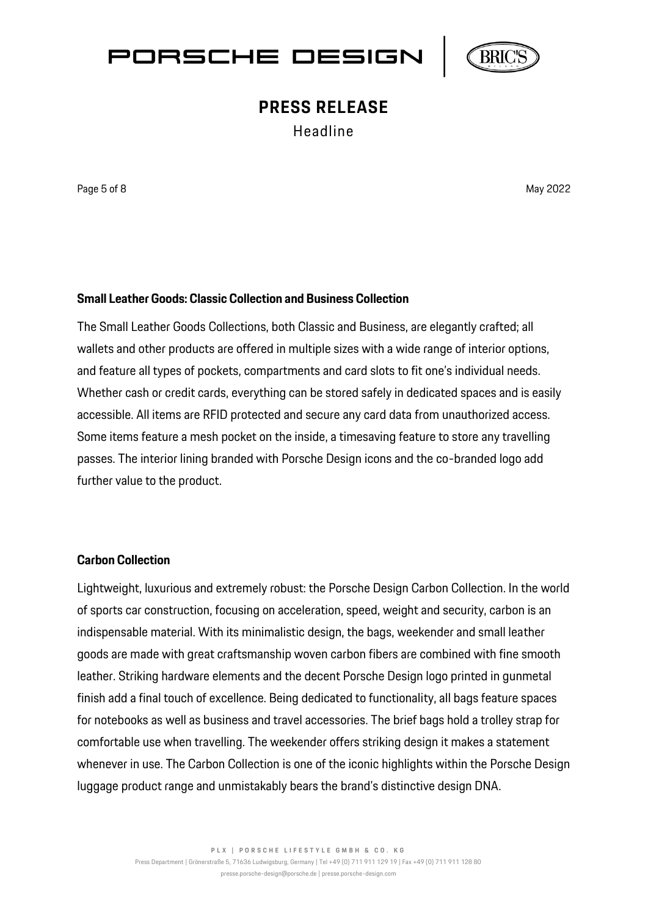



Headline

Page 5 of 8 May 2022 **May 2022** 

### **Small Leather Goods: Classic Collection and Business Collection**

The Small Leather Goods Collections, both Classic and Business, are elegantly crafted; all wallets and other products are offered in multiple sizes with a wide range of interior options, and feature all types of pockets, compartments and card slots to fit one's individual needs. Whether cash or credit cards, everything can be stored safely in dedicated spaces and is easily accessible. All items are RFID protected and secure any card data from unauthorized access. Some items feature a mesh pocket on the inside, a timesaving feature to store any travelling passes. The interior lining branded with Porsche Design icons and the co-branded logo add further value to the product.

#### **Carbon Collection**

Lightweight, luxurious and extremely robust: the Porsche Design Carbon Collection. In the world of sports car construction, focusing on acceleration, speed, weight and security, carbon is an indispensable material. With its minimalistic design, the bags, weekender and small leather goods are made with great craftsmanship woven carbon fibers are combined with fine smooth leather. Striking hardware elements and the decent Porsche Design logo printed in gunmetal finish add a final touch of excellence. Being dedicated to functionality, all bags feature spaces for notebooks as well as business and travel accessories. The brief bags hold a trolley strap for comfortable use when travelling. The weekender offers striking design it makes a statement whenever in use. The Carbon Collection is one of the iconic highlights within the Porsche Design luggage product range and unmistakably bears the brand's distinctive design DNA.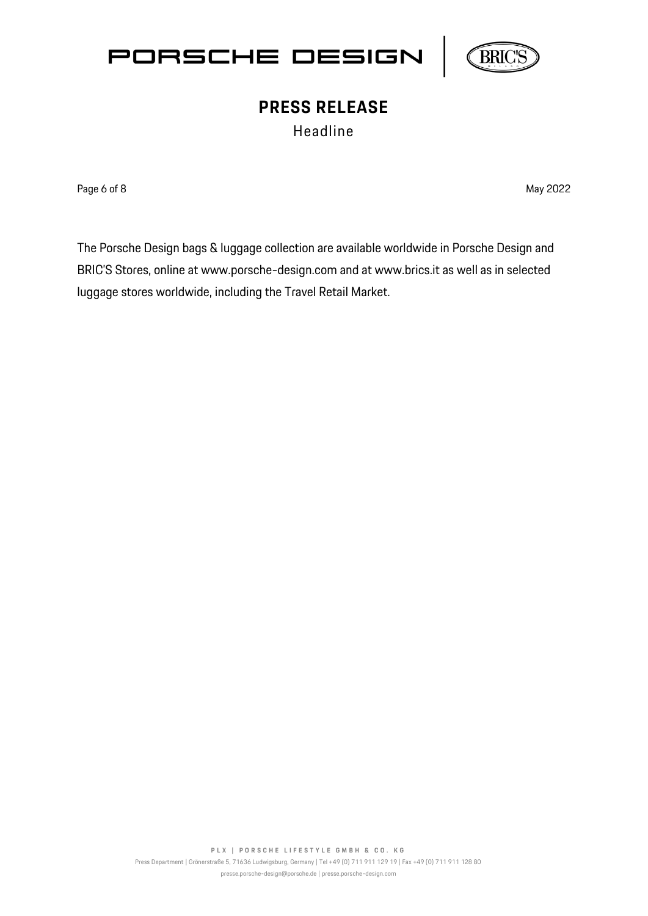



Headline

Page 6 of 8 May 2022 **May 2022** 

The Porsche Design bags & luggage collection are available worldwide in Porsche Design and BRIC'S Stores, online at [www.porsche-design.com](http://www.porsche-design.com/) and at [www.brics.it](http://www.brics.it/) as well as in selected luggage stores worldwide, including the Travel Retail Market.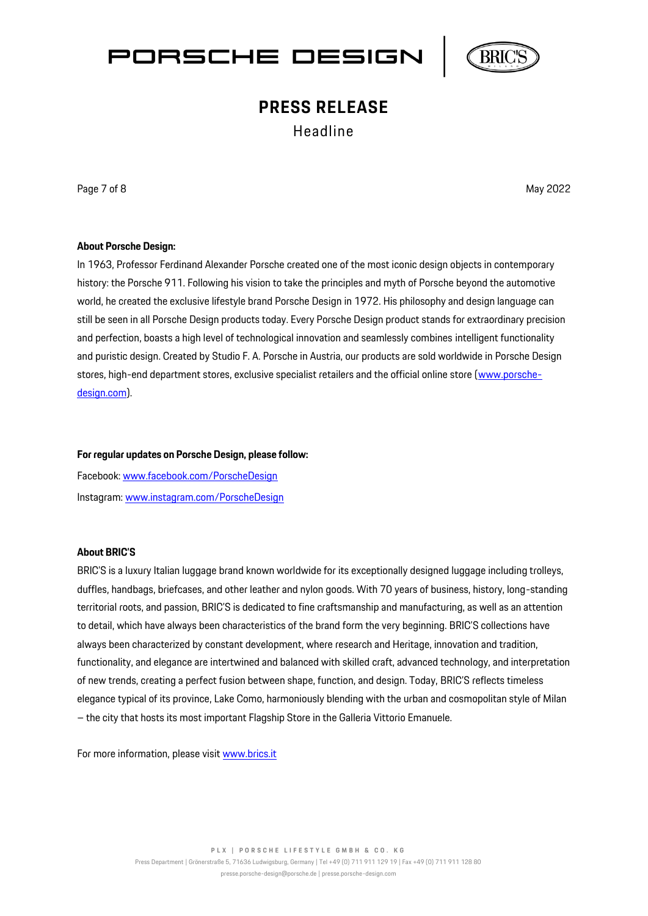



Headline

Page 7 of 8 May 2022 May 2022 May 2022 May 2022 May 2022 May 2022 May 2022 May 2022

#### **About Porsche Design:**

In 1963, Professor Ferdinand Alexander Porsche created one of the most iconic design objects in contemporary history: the Porsche 911. Following his vision to take the principles and myth of Porsche beyond the automotive world, he created the exclusive lifestyle brand Porsche Design in 1972. His philosophy and design language can still be seen in all Porsche Design products today. Every Porsche Design product stands for extraordinary precision and perfection, boasts a high level of technological innovation and seamlessly combines intelligent functionality and puristic design. Created by Studio F. A. Porsche in Austria, our products are sold worldwide in Porsche Design stores, high-end department stores, exclusive specialist retailers and the official online store [\(www.porsche](http://www.porsche-design.com/)[design.com\)](http://www.porsche-design.com/).

#### **For regular updates on Porsche Design, please follow:**

Facebook: [www.facebook.com/PorscheDesign](http://www.facebook.com/PorscheDesign) Instagram[: www.instagram.com/PorscheDesign](http://www.instagram.com/PorscheDesign)

#### **About BRIC'S**

BRIC'S is a luxury Italian luggage brand known worldwide for its exceptionally designed luggage including trolleys, duffles, handbags, briefcases, and other leather and nylon goods. With 70 years of business, history, long-standing territorial roots, and passion, BRIC'S is dedicated to fine craftsmanship and manufacturing, as well as an attention to detail, which have always been characteristics of the brand form the very beginning. BRIC'S collections have always been characterized by constant development, where research and Heritage, innovation and tradition, functionality, and elegance are intertwined and balanced with skilled craft, advanced technology, and interpretation of new trends, creating a perfect fusion between shape, function, and design. Today, BRIC'S reflects timeless elegance typical of its province, Lake Como, harmoniously blending with the urban and cosmopolitan style of Milan – the city that hosts its most important Flagship Store in the Galleria Vittorio Emanuele.

For more information, please visit [www.brics.it](http://www.brics.it/)